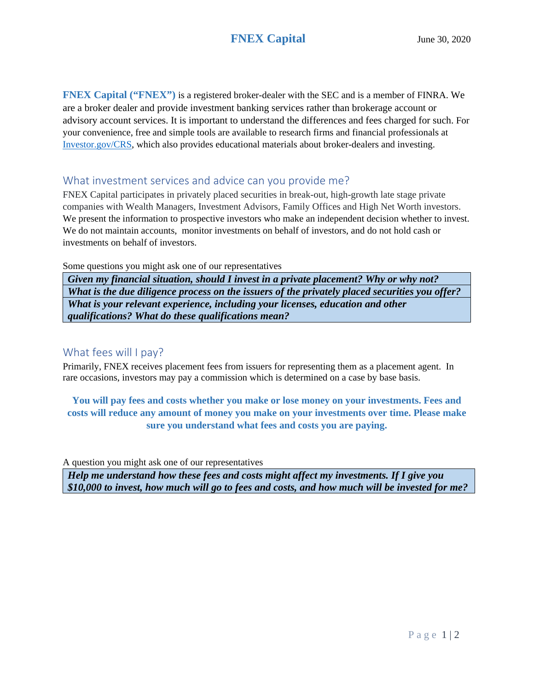# **FNEX Capital** June 30, 2020

**FNEX Capital ("FNEX")** is a registered broker-dealer with the SEC and is a member of FINRA. We are a broker dealer and provide investment banking services rather than brokerage account or advisory account services. It is important to understand the differences and fees charged for such. For your convenience, free and simple tools are available to research firms and financial professionals at [Investor.gov/CRS,](https://www.investor.gov/CRS) which also provides educational materials about broker-dealers and investing.

#### What investment services and advice can you provide me?

FNEX Capital participates in privately placed securities in break-out, high-growth late stage private companies with Wealth Managers, Investment Advisors, Family Offices and High Net Worth investors. We present the information to prospective investors who make an independent decision whether to invest. We do not maintain accounts, monitor investments on behalf of investors, and do not hold cash or investments on behalf of investors.

Some questions you might ask one of our representatives

*Given my financial situation, should I invest in a private placement? Why or why not? What is the due diligence process on the issuers of the privately placed securities you offer? What is your relevant experience, including your licenses, education and other qualifications? What do these qualifications mean?*

### What fees will I pay?

Primarily, FNEX receives placement fees from issuers for representing them as a placement agent. In rare occasions, investors may pay a commission which is determined on a case by base basis.

**You will pay fees and costs whether you make or lose money on your investments. Fees and costs will reduce any amount of money you make on your investments over time. Please make sure you understand what fees and costs you are paying.**

A question you might ask one of our representatives

*Help me understand how these fees and costs might affect my investments. If I give you \$10,000 to invest, how much will go to fees and costs, and how much will be invested for me?*